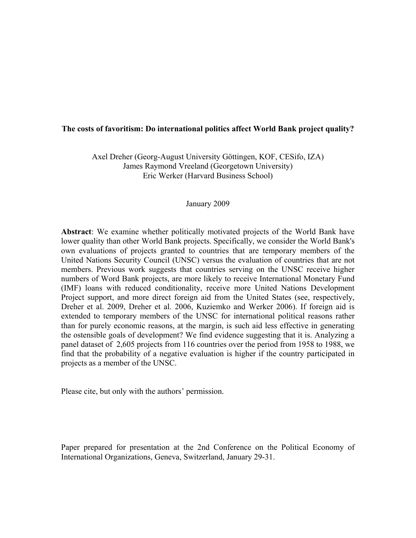### **The costs of favoritism: Do international politics affect World Bank project quality?**

Axel Dreher (Georg-August University Göttingen, KOF, CESifo, IZA) James Raymond Vreeland (Georgetown University) Eric Werker (Harvard Business School)

#### January 2009

**Abstract**: We examine whether politically motivated projects of the World Bank have lower quality than other World Bank projects. Specifically, we consider the World Bank's own evaluations of projects granted to countries that are temporary members of the United Nations Security Council (UNSC) versus the evaluation of countries that are not members. Previous work suggests that countries serving on the UNSC receive higher numbers of Word Bank projects, are more likely to receive International Monetary Fund (IMF) loans with reduced conditionality, receive more United Nations Development Project support, and more direct foreign aid from the United States (see, respectively, Dreher et al. 2009, Dreher et al. 2006, Kuziemko and Werker 2006). If foreign aid is extended to temporary members of the UNSC for international political reasons rather than for purely economic reasons, at the margin, is such aid less effective in generating the ostensible goals of development? We find evidence suggesting that it is. Analyzing a panel dataset of 2,605 projects from 116 countries over the period from 1958 to 1988, we find that the probability of a negative evaluation is higher if the country participated in projects as a member of the UNSC.

Please cite, but only with the authors' permission.

Paper prepared for presentation at the 2nd Conference on the Political Economy of International Organizations, Geneva, Switzerland, January 29-31.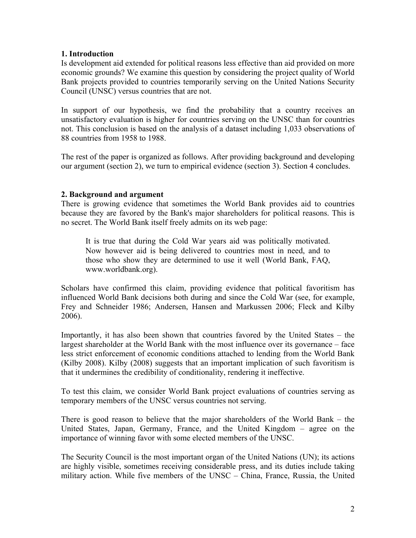## **1. Introduction**

Is development aid extended for political reasons less effective than aid provided on more economic grounds? We examine this question by considering the project quality of World Bank projects provided to countries temporarily serving on the United Nations Security Council (UNSC) versus countries that are not.

In support of our hypothesis, we find the probability that a country receives an unsatisfactory evaluation is higher for countries serving on the UNSC than for countries not. This conclusion is based on the analysis of a dataset including 1,033 observations of 88 countries from 1958 to 1988.

The rest of the paper is organized as follows. After providing background and developing our argument (section 2), we turn to empirical evidence (section 3). Section 4 concludes.

## **2. Background and argument**

There is growing evidence that sometimes the World Bank provides aid to countries because they are favored by the Bank's major shareholders for political reasons. This is no secret. The World Bank itself freely admits on its web page:

It is true that during the Cold War years aid was politically motivated. Now however aid is being delivered to countries most in need, and to those who show they are determined to use it well (World Bank, FAQ, www.worldbank.org).

Scholars have confirmed this claim, providing evidence that political favoritism has influenced World Bank decisions both during and since the Cold War (see, for example, Frey and Schneider 1986; Andersen, Hansen and Markussen 2006; Fleck and Kilby 2006).

Importantly, it has also been shown that countries favored by the United States – the largest shareholder at the World Bank with the most influence over its governance – face less strict enforcement of economic conditions attached to lending from the World Bank (Kilby 2008). Kilby (2008) suggests that an important implication of such favoritism is that it undermines the credibility of conditionality, rendering it ineffective.

To test this claim, we consider World Bank project evaluations of countries serving as temporary members of the UNSC versus countries not serving.

There is good reason to believe that the major shareholders of the World Bank – the United States, Japan, Germany, France, and the United Kingdom – agree on the importance of winning favor with some elected members of the UNSC.

The Security Council is the most important organ of the United Nations (UN); its actions are highly visible, sometimes receiving considerable press, and its duties include taking military action. While five members of the UNSC – China, France, Russia, the United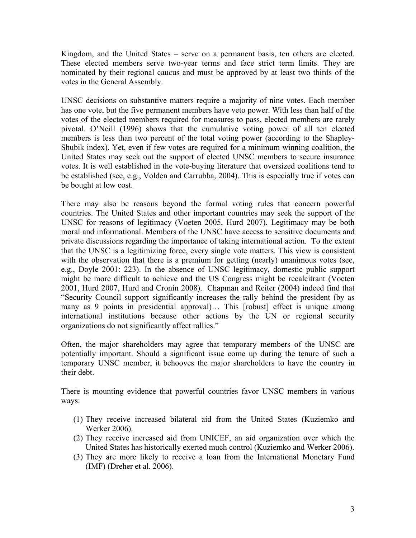Kingdom, and the United States – serve on a permanent basis, ten others are elected. These elected members serve two-year terms and face strict term limits. They are nominated by their regional caucus and must be approved by at least two thirds of the votes in the General Assembly.

UNSC decisions on substantive matters require a majority of nine votes. Each member has one vote, but the five permanent members have veto power. With less than half of the votes of the elected members required for measures to pass, elected members are rarely pivotal. O'Neill (1996) shows that the cumulative voting power of all ten elected members is less than two percent of the total voting power (according to the Shapley-Shubik index). Yet, even if few votes are required for a minimum winning coalition, the United States may seek out the support of elected UNSC members to secure insurance votes. It is well established in the vote-buying literature that oversized coalitions tend to be established (see, e.g., Volden and Carrubba, 2004). This is especially true if votes can be bought at low cost.

There may also be reasons beyond the formal voting rules that concern powerful countries. The United States and other important countries may seek the support of the UNSC for reasons of legitimacy (Voeten 2005, Hurd 2007). Legitimacy may be both moral and informational. Members of the UNSC have access to sensitive documents and private discussions regarding the importance of taking international action. To the extent that the UNSC is a legitimizing force, every single vote matters. This view is consistent with the observation that there is a premium for getting (nearly) unanimous votes (see, e.g., Doyle 2001: 223). In the absence of UNSC legitimacy, domestic public support might be more difficult to achieve and the US Congress might be recalcitrant (Voeten 2001, Hurd 2007, Hurd and Cronin 2008). Chapman and Reiter (2004) indeed find that "Security Council support significantly increases the rally behind the president (by as many as 9 points in presidential approval)... This [robust] effect is unique among international institutions because other actions by the UN or regional security organizations do not significantly affect rallies."

Often, the major shareholders may agree that temporary members of the UNSC are potentially important. Should a significant issue come up during the tenure of such a temporary UNSC member, it behooves the major shareholders to have the country in their debt.

There is mounting evidence that powerful countries favor UNSC members in various ways:

- (1) They receive increased bilateral aid from the United States (Kuziemko and Werker 2006).
- (2) They receive increased aid from UNICEF, an aid organization over which the United States has historically exerted much control (Kuziemko and Werker 2006).
- (3) They are more likely to receive a loan from the International Monetary Fund (IMF) (Dreher et al. 2006).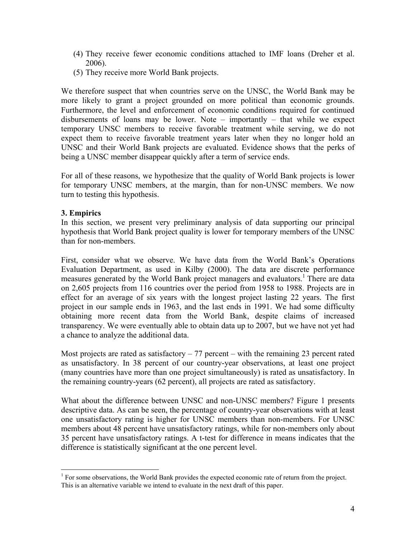- (4) They receive fewer economic conditions attached to IMF loans (Dreher et al. 2006).
- (5) They receive more World Bank projects.

We therefore suspect that when countries serve on the UNSC, the World Bank may be more likely to grant a project grounded on more political than economic grounds. Furthermore, the level and enforcement of economic conditions required for continued disbursements of loans may be lower. Note – importantly – that while we expect temporary UNSC members to receive favorable treatment while serving, we do not expect them to receive favorable treatment years later when they no longer hold an UNSC and their World Bank projects are evaluated. Evidence shows that the perks of being a UNSC member disappear quickly after a term of service ends.

For all of these reasons, we hypothesize that the quality of World Bank projects is lower for temporary UNSC members, at the margin, than for non-UNSC members. We now turn to testing this hypothesis.

# **3. Empirics**

1

In this section, we present very preliminary analysis of data supporting our principal hypothesis that World Bank project quality is lower for temporary members of the UNSC than for non-members.

First, consider what we observe. We have data from the World Bank's Operations Evaluation Department, as used in Kilby (2000). The data are discrete performance measures generated by the World Bank project managers and evaluators.<sup>1</sup> There are data on 2,605 projects from 116 countries over the period from 1958 to 1988. Projects are in effect for an average of six years with the longest project lasting 22 years. The first project in our sample ends in 1963, and the last ends in 1991. We had some difficulty obtaining more recent data from the World Bank, despite claims of increased transparency. We were eventually able to obtain data up to 2007, but we have not yet had a chance to analyze the additional data.

Most projects are rated as satisfactory  $-77$  percent – with the remaining 23 percent rated as unsatisfactory. In 38 percent of our country-year observations, at least one project (many countries have more than one project simultaneously) is rated as unsatisfactory. In the remaining country-years (62 percent), all projects are rated as satisfactory.

What about the difference between UNSC and non-UNSC members? Figure 1 presents descriptive data. As can be seen, the percentage of country-year observations with at least one unsatisfactory rating is higher for UNSC members than non-members. For UNSC members about 48 percent have unsatisfactory ratings, while for non-members only about 35 percent have unsatisfactory ratings. A t-test for difference in means indicates that the difference is statistically significant at the one percent level.

 $<sup>1</sup>$  For some observations, the World Bank provides the expected economic rate of return from the project.</sup> This is an alternative variable we intend to evaluate in the next draft of this paper.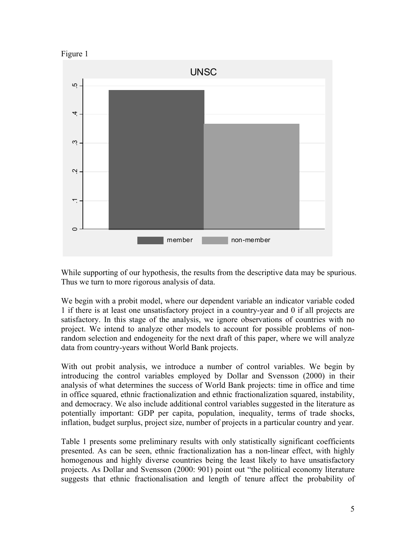



While supporting of our hypothesis, the results from the descriptive data may be spurious. Thus we turn to more rigorous analysis of data.

We begin with a probit model, where our dependent variable an indicator variable coded 1 if there is at least one unsatisfactory project in a country-year and 0 if all projects are satisfactory. In this stage of the analysis, we ignore observations of countries with no project. We intend to analyze other models to account for possible problems of nonrandom selection and endogeneity for the next draft of this paper, where we will analyze data from country-years without World Bank projects.

With out probit analysis, we introduce a number of control variables. We begin by introducing the control variables employed by Dollar and Svensson (2000) in their analysis of what determines the success of World Bank projects: time in office and time in office squared, ethnic fractionalization and ethnic fractionalization squared, instability, and democracy. We also include additional control variables suggested in the literature as potentially important: GDP per capita, population, inequality, terms of trade shocks, inflation, budget surplus, project size, number of projects in a particular country and year.

Table 1 presents some preliminary results with only statistically significant coefficients presented. As can be seen, ethnic fractionalization has a non-linear effect, with highly homogenous and highly diverse countries being the least likely to have unsatisfactory projects. As Dollar and Svensson (2000: 901) point out "the political economy literature suggests that ethnic fractionalisation and length of tenure affect the probability of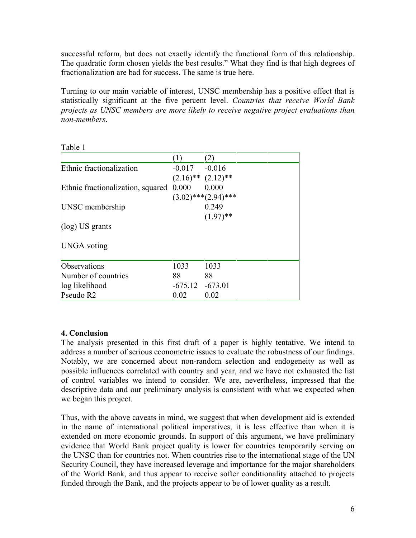successful reform, but does not exactly identify the functional form of this relationship. The quadratic form chosen yields the best results." What they find is that high degrees of fractionalization are bad for success. The same is true here.

Turning to our main variable of interest, UNSC membership has a positive effect that is statistically significant at the five percent level. *Countries that receive World Bank projects as UNSC members are more likely to receive negative project evaluations than non-members*.

|                                         | (1)               | (2)                       |  |
|-----------------------------------------|-------------------|---------------------------|--|
| Ethnic fractionalization                | $-0.017 - 0.016$  |                           |  |
|                                         |                   | $(2.16)$ ** $(2.12)$ **   |  |
| Ethnic fractionalization, squared 0.000 |                   | 0.000                     |  |
|                                         |                   | $(3.02)$ *** $(2.94)$ *** |  |
| UNSC membership                         |                   | 0.249                     |  |
|                                         |                   | $(1.97)$ **               |  |
| $(\log)$ US grants                      |                   |                           |  |
| <b>UNGA</b> voting                      |                   |                           |  |
| Observations                            | 1033              | 1033                      |  |
| Number of countries                     | 88                | 88                        |  |
| log likelihood                          | $-675.12 -673.01$ |                           |  |
| Pseudo R2                               | 0.02              | 0.02                      |  |

Table 1

# **4. Conclusion**

The analysis presented in this first draft of a paper is highly tentative. We intend to address a number of serious econometric issues to evaluate the robustness of our findings. Notably, we are concerned about non-random selection and endogeneity as well as possible influences correlated with country and year, and we have not exhausted the list of control variables we intend to consider. We are, nevertheless, impressed that the descriptive data and our preliminary analysis is consistent with what we expected when we began this project.

Thus, with the above caveats in mind, we suggest that when development aid is extended in the name of international political imperatives, it is less effective than when it is extended on more economic grounds. In support of this argument, we have preliminary evidence that World Bank project quality is lower for countries temporarily serving on the UNSC than for countries not. When countries rise to the international stage of the UN Security Council, they have increased leverage and importance for the major shareholders of the World Bank, and thus appear to receive softer conditionality attached to projects funded through the Bank, and the projects appear to be of lower quality as a result.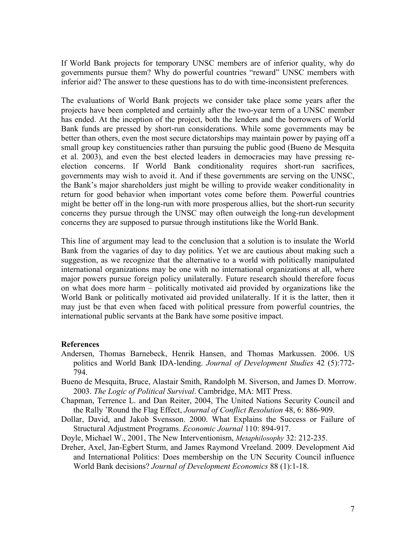If World Bank projects for temporary UNSC members are of inferior quality, why do governments pursue them? Why do powerful countries "reward" UNSC members with inferior aid? The answer to these questions has to do with time-inconsistent preferences.

The evaluations of World Bank projects we consider take place some years after the projects have been completed and certainly after the two-year term of a UNSC member has ended. At the inception of the project, both the lenders and the borrowers of World Bank funds are pressed by short-run considerations. While some governments may be better than others, even the most secure dictatorships may maintain power by paying off a small group key constituencies rather than pursuing the public good (Bueno de Mesquita et al. 2003), and even the best elected leaders in democracies may have pressing reelection concerns. If World Bank conditionality requires short-run sacrifices, governments may wish to avoid it. And if these governments are serving on the UNSC, the Bank's major shareholders just might be willing to provide weaker conditionality in return for good behavior when important votes come before them. Powerful countries might be better off in the long-run with more prosperous allies, but the short-run security concerns they pursue through the UNSC may often outweigh the long-run development concerns they are supposed to pursue through institutions like the World Bank.

This line of argument may lead to the conclusion that a solution is to insulate the World Bank from the vagaries of day to day politics. Yet we are cautious about making such a suggestion, as we recognize that the alternative to a world with politically manipulated international organizations may be one with no international organizations at all, where major powers pursue foreign policy unilaterally. Future research should therefore focus on what does more harm – politically motivated aid provided by organizations like the World Bank or politically motivated aid provided unilaterally. If it is the latter, then it may just be that even when faced with political pressure from powerful countries, the international public servants at the Bank have some positive impact.

#### **References**

- Andersen, Thomas Barnebeck, Henrik Hansen, and Thomas Markussen. 2006. US politics and World Bank IDA-lending. *Journal of Development Studies* 42 (5):772- 794.
- Bueno de Mesquita, Bruce, Alastair Smith, Randolph M. Siverson, and James D. Morrow. 2003. *The Logic of Political Survival*. Cambridge, MA: MIT Press.
- Chapman, Terrence L. and Dan Reiter, 2004, The United Nations Security Council and the Rally 'Round the Flag Effect, *Journal of Conflict Resolution* 48, 6: 886-909.
- Dollar, David, and Jakob Svensson. 2000. What Explains the Success or Failure of Structural Adjustment Programs. *Economic Journal* 110: 894-917.
- Doyle, Michael W., 2001, The New Interventionism, *Metaphilosophy* 32: 212-235.
- Dreher, Axel, Jan-Egbert Sturm, and James Raymond Vreeland. 2009. Development Aid and International Politics: Does membership on the UN Security Council influence World Bank decisions? *Journal of Development Economics* 88 (1):1-18.